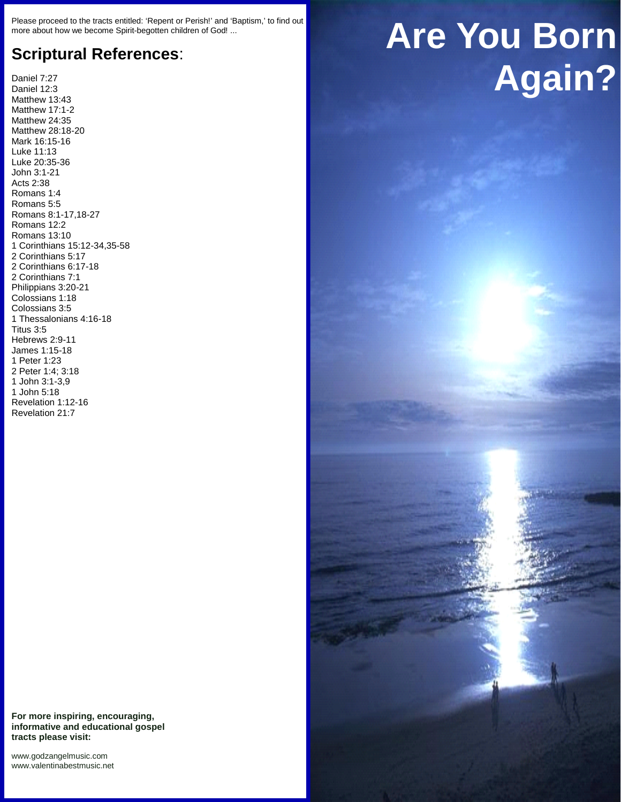Please proceed to the tracts entitled: 'Repent or Perish!' and 'Baptism,' to find out more about how we become Spirit-begotten children of God! ...

## **Scriptural References**:

Daniel 7:27 Daniel 12:3 Matthew 13:43 Matthew 17:1-2 Matthew 24:35 Matthew 28:18-20 Mark 16:15-16 Luke 11:13 Luke 20:35-36 John 3:1-21 Acts 2:38 Romans 1:4 Romans 5:5 Romans 8:1-17,18-27 Romans 12:2 Romans 13:10 1 Corinthians 15:12-34,35-58 2 Corinthians 5:17 2 Corinthians 6:17-18 2 Corinthians 7:1 Philippians 3:20-21 Colossians 1:18 Colossians 3:5 1 Thessalonians 4:16-18 Titus 3:5 Hebrews 2:9-11 James 1:15-18 1 Peter 1:23 2 Peter 1:4; 3:18 1 John 3:1-3,9 1 John 5:18 Revelation 1:12-16 Revelation 21:7

**For more inspiring, encouraging, informative and educational gospel tracts please visit:**

<www.godzangelmusic.com> <www.valentinabestmusic.net>

## **Are You Born Again?**